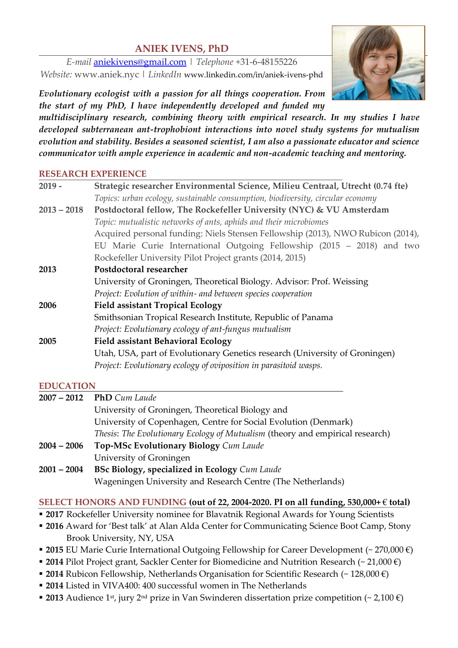## **ANIEK IVENS, PhD**

*E-mail* [aniekivens@gmail.com](mailto:aniekivens@gmail.com) | *Telephone* +31-6-48155226 *Website:* www.aniek.nyc | *LinkedIn* www.linkedin.com/in/aniek-ivens-phd

*Evolutionary ecologist with a passion for all things cooperation. From the start of my PhD, I have independently developed and funded my* 

*multidisciplinary research, combining theory with empirical research. In my studies I have developed subterranean ant-trophobiont interactions into novel study systems for mutualism evolution and stability. Besides a seasoned scientist, I am also a passionate educator and science communicator with ample experience in academic and non-academic teaching and mentoring.*

#### **RESEARCH EXPERIENCE**

| $2019 -$      | Strategic researcher Environmental Science, Milieu Centraal, Utrecht (0.74 fte) |
|---------------|---------------------------------------------------------------------------------|
|               | Topics: urban ecology, sustainable consumption, biodiversity, circular economy  |
| $2013 - 2018$ | Postdoctoral fellow, The Rockefeller University (NYC) & VU Amsterdam            |
|               | Topic: mutualistic networks of ants, aphids and their microbiomes               |
|               | Acquired personal funding: Niels Stensen Fellowship (2013), NWO Rubicon (2014), |
|               | EU Marie Curie International Outgoing Fellowship (2015 - 2018) and two          |
|               | Rockefeller University Pilot Project grants (2014, 2015)                        |
| 2013          | Postdoctoral researcher                                                         |
|               | University of Groningen, Theoretical Biology. Advisor: Prof. Weissing           |
|               | Project: Evolution of within- and between species cooperation                   |
| 2006          | <b>Field assistant Tropical Ecology</b>                                         |
|               | Smithsonian Tropical Research Institute, Republic of Panama                     |
|               | Project: Evolutionary ecology of ant-fungus mutualism                           |
| 2005          | <b>Field assistant Behavioral Ecology</b>                                       |
|               | Utah, USA, part of Evolutionary Genetics research (University of Groningen)     |
|               | Project: Evolutionary ecology of oviposition in parasitoid wasps.               |
|               |                                                                                 |

#### **EDUCATION**

|               | 2007 - 2012 PhD Cum Laude                                                     |
|---------------|-------------------------------------------------------------------------------|
|               | University of Groningen, Theoretical Biology and                              |
|               | University of Copenhagen, Centre for Social Evolution (Denmark)               |
|               | Thesis: The Evolutionary Ecology of Mutualism (theory and empirical research) |
| $2004 - 2006$ | Top-MSc Evolutionary Biology Cum Laude                                        |
|               | University of Groningen                                                       |
| $2001 - 2004$ | <b>BSc Biology, specialized in Ecology</b> Cum Laude                          |
|               | Wageningen University and Research Centre (The Netherlands)                   |
|               |                                                                               |

#### **SELECT HONORS AND FUNDING (out of 22, 2004-2020. PI on all funding, 530,000+** € **total)**

- **2017** Rockefeller University nominee for Blavatnik Regional Awards for Young Scientists
- 2016 Award for 'Best talk' at Alan Alda Center for Communicating Science Boot Camp, Stony Brook University, NY, USA
- 2015 EU Marie Curie International Outgoing Fellowship for Career Development (~ 270,000 €)
- 2014 Pilot Project grant, Sackler Center for Biomedicine and Nutrition Research (~ 21,000 €)
- 2014 Rubicon Fellowship, Netherlands Organisation for Scientific Research (~ 128,000 €)
- **2014** Listed in VIVA400: 400 successful women in The Netherlands
- 2013 Audience 1<sup>st</sup>, jury 2<sup>nd</sup> prize in Van Swinderen dissertation prize competition (~ 2,100 €)

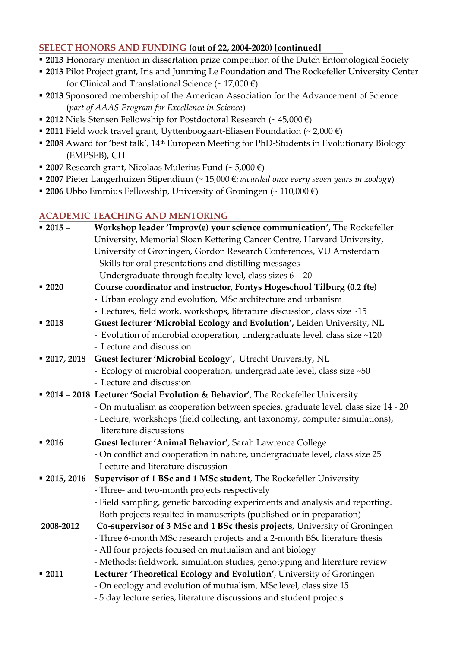#### **SELECT HONORS AND FUNDING (out of 22, 2004-2020) [continued]**

- **2013** Honorary mention in dissertation prize competition of the Dutch Entomological Society
- **2013** Pilot Project grant, Iris and Junming Le Foundation and The Rockefeller University Center for Clinical and Translational Science (~ 17,000 €)
- **2013** Sponsored membership of the American Association for the Advancement of Science (*part of AAAS Program for Excellence in Science*)
- **2012** Niels Stensen Fellowship for Postdoctoral Research (~ 45,000 €)
- 2011 Field work travel grant, Uyttenboogaart-Eliasen Foundation (~ 2,000 €)
- 2008 Award for 'best talk', 14<sup>th</sup> European Meeting for PhD-Students in Evolutionary Biology (EMPSEB), CH
- **2007** Research grant, Nicolaas Mulerius Fund (~ 5,000 €)
- **2007** Pieter Langerhuizen Stipendium (~ 15,000 €; *awarded once every seven years in zoology*)
- **2006** Ubbo Emmius Fellowship, University of Groningen (~ 110,000 €)

#### **ACADEMIC TEACHING AND MENTORING**

| $-2015-$      | Workshop leader 'Improv(e) your science communication', The Rockefeller           |
|---------------|-----------------------------------------------------------------------------------|
|               | University, Memorial Sloan Kettering Cancer Centre, Harvard University,           |
|               | University of Groningen, Gordon Research Conferences, VU Amsterdam                |
|               | - Skills for oral presentations and distilling messages                           |
|               | - Undergraduate through faculty level, class sizes 6 - 20                         |
| $-2020$       | Course coordinator and instructor, Fontys Hogeschool Tilburg (0.2 fte)            |
|               | - Urban ecology and evolution, MSc architecture and urbanism                      |
|               | - Lectures, field work, workshops, literature discussion, class size ~15          |
| $-2018$       | Guest lecturer 'Microbial Ecology and Evolution', Leiden University, NL           |
|               | - Evolution of microbial cooperation, undergraduate level, class size ~120        |
|               | - Lecture and discussion                                                          |
| $-2017, 2018$ | Guest lecturer 'Microbial Ecology', Utrecht University, NL                        |
|               | - Ecology of microbial cooperation, undergraduate level, class size ~50           |
|               | - Lecture and discussion                                                          |
|               | • 2014 - 2018 Lecturer 'Social Evolution & Behavior', The Rockefeller University  |
|               | - On mutualism as cooperation between species, graduate level, class size 14 - 20 |
|               | - Lecture, workshops (field collecting, ant taxonomy, computer simulations),      |
|               | literature discussions                                                            |
| $-2016$       | Guest lecturer 'Animal Behavior', Sarah Lawrence College                          |
|               | - On conflict and cooperation in nature, undergraduate level, class size 25       |
|               | - Lecture and literature discussion                                               |
| $-2015, 2016$ | Supervisor of 1 BSc and 1 MSc student, The Rockefeller University                 |
|               | - Three- and two-month projects respectively                                      |
|               | - Field sampling, genetic barcoding experiments and analysis and reporting.       |
|               | - Both projects resulted in manuscripts (published or in preparation)             |
| 2008-2012     | Co-supervisor of 3 MSc and 1 BSc thesis projects, University of Groningen         |
|               | - Three 6-month MSc research projects and a 2-month BSc literature thesis         |
|               | - All four projects focused on mutualism and ant biology                          |
|               | - Methods: fieldwork, simulation studies, genotyping and literature review        |
| $-2011$       | Lecturer 'Theoretical Ecology and Evolution', University of Groningen             |
|               | - On ecology and evolution of mutualism, MSc level, class size 15                 |
|               | - 5 day lecture series, literature discussions and student projects               |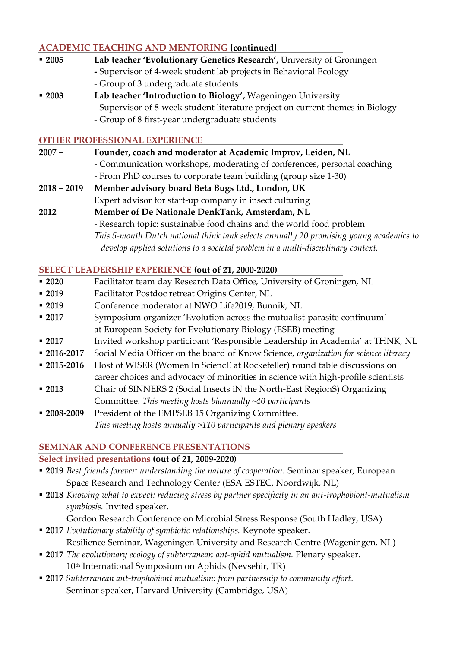## **ACADEMIC TEACHING AND MENTORING [continued]**

|               | ACADEMIC TEACHING AND MENTONING JOINING ()                                              |
|---------------|-----------------------------------------------------------------------------------------|
| $-2005$       | Lab teacher 'Evolutionary Genetics Research', University of Groningen                   |
|               | - Supervisor of 4-week student lab projects in Behavioral Ecology                       |
|               | - Group of 3 undergraduate students                                                     |
| $-2003$       | Lab teacher 'Introduction to Biology', Wageningen University                            |
|               | - Supervisor of 8-week student literature project on current themes in Biology          |
|               | - Group of 8 first-year undergraduate students                                          |
|               | <b>OTHER PROFESSIONAL EXPERIENCE</b>                                                    |
| $2007 -$      | Founder, coach and moderator at Academic Improv, Leiden, NL                             |
|               | - Communication workshops, moderating of conferences, personal coaching                 |
|               | - From PhD courses to corporate team building (group size 1-30)                         |
| $2018 - 2019$ | Member advisory board Beta Bugs Ltd., London, UK                                        |
|               | Expert advisor for start-up company in insect culturing                                 |
| 2012          | Member of De Nationale DenkTank, Amsterdam, NL                                          |
|               | - Research topic: sustainable food chains and the world food problem                    |
|               | This 5-month Dutch national think tank selects annually 20 promising young academics to |
|               | develop applied solutions to a societal problem in a multi-disciplinary context.        |
|               | <b>SELECT LEADERSHIP EXPERIENCE (out of 21, 2000-2020)</b>                              |
|               |                                                                                         |

- **2020** Facilitator team day Research Data Office, University of Groningen, NL
- **2019** Facilitator Postdoc retreat Origins Center, NL
- **2019** Conference moderator at NWO Life2019, Bunnik, NL
- **2017** Symposium organizer 'Evolution across the mutualist-parasite continuum' at European Society for Evolutionary Biology (ESEB) meeting
- **2017** Invited workshop participant 'Responsible Leadership in Academia' at THNK, NL
- **2016-2017** Social Media Officer on the board of Know Science, *organization for science literacy*
- **2015-2016** Host of WISER (Women In SciencE at Rockefeller) round table discussions on
- career choices and advocacy of minorities in science with high-profile scientists ▪ **2013** Chair of SINNERS 2 (Social Insects iN the North-East RegionS) Organizing
- Committee. *This meeting hosts biannually ~40 participants* ▪ **2008-2009** President of the EMPSEB 15 Organizing Committee.

*This meeting hosts annually >110 participants and plenary speakers*

#### **SEMINAR AND CONFERENCE PRESENTATIONS**

#### **Select invited presentations (out of 21, 2009-2020)**

- **2019** *Best friends forever: understanding the nature of cooperation.* Seminar speaker, European Space Research and Technology Center (ESA ESTEC, Noordwijk, NL)
- **2018** *Knowing what to expect: reducing stress by partner specificity in an ant-trophobiont-mutualism symbiosis.* Invited speaker.
	- Gordon Research Conference on Microbial Stress Response (South Hadley, USA)
- **2017** *Evolutionary stability of symbiotic relationships.* Keynote speaker. Resilience Seminar, Wageningen University and Research Centre (Wageningen, NL)
- **2017** *The evolutionary ecology of subterranean ant-aphid mutualism.* Plenary speaker. 10<sup>th</sup> International Symposium on Aphids (Nevsehir, TR)
- **2017** *Subterranean ant-trophobiont mutualism: from partnership to community effort.*  Seminar speaker, Harvard University (Cambridge, USA)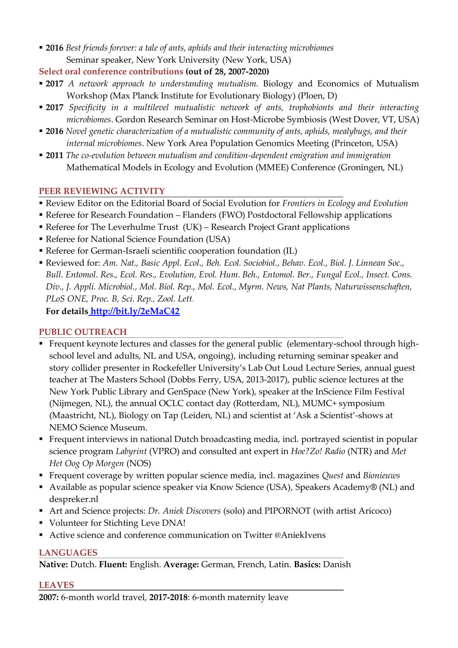- **2016** *Best friends forever: a tale of ants, aphids and their interacting microbiomes* Seminar speaker, New York University (New York, USA)
- **Select oral conference contributions (out of 28, 2007-2020)**
- **2017** *A network approach to understanding mutualism.* Biology and Economics of Mutualism Workshop (Max Planck Institute for Evolutionary Biology) (Ploen, D)
- **2017** *Specificity in a multilevel mutualistic network of ants, trophobionts and their interacting microbiomes*. Gordon Research Seminar on Host-Microbe Symbiosis (West Dover, VT, USA)
- **2016** *Novel genetic characterization of a mutualistic community of ants, aphids, mealybugs, and their internal microbiomes*. New York Area Population Genomics Meeting (Princeton, USA)
- **2011** *The co-evolution between mutualism and condition-dependent emigration and immigration* Mathematical Models in Ecology and Evolution (MMEE) Conference (Groningen, NL)

## **PEER REVIEWING ACTIVITY**

- Review Editor on the Editorial Board of Social Evolution for *Frontiers in Ecology and Evolution*
- Referee for Research Foundation Flanders (FWO) Postdoctoral Fellowship applications
- Referee for The Leverhulme Trust (UK) Research Project Grant applications
- Referee for National Science Foundation (USA)
- Referee for German-Israeli scientific cooperation foundation (IL)
- Reviewed for: *Am. Nat., Basic Appl. Ecol., Beh. Ecol. Sociobiol., Behav. Ecol., Biol. J. Linnean Soc., Bull. Entomol. Res., Ecol. Res., Evolution, Evol. Hum. Beh., Entomol. Ber., Fungal Ecol., Insect. Cons. Div., J. Appli. Microbiol., Mol. Biol. Rep., Mol. Ecol., Myrm. News, Nat Plants, Naturwissenschaften, PLoS ONE, Proc. B, Sci. Rep., Zool. Lett.* **For details <http://bit.ly/2eMaC42>**

## **PUBLIC OUTREACH**

- Frequent keynote lectures and classes for the general public (elementary-school through highschool level and adults, NL and USA, ongoing), including returning seminar speaker and story collider presenter in Rockefeller University's Lab Out Loud Lecture Series, annual guest teacher at The Masters School (Dobbs Ferry, USA, 2013-2017), public science lectures at the New York Public Library and GenSpace (New York), speaker at the InScience Film Festival (Nijmegen, NL), the annual OCLC contact day (Rotterdam, NL), MUMC+ symposium (Maastricht, NL), Biology on Tap (Leiden, NL) and scientist at 'Ask a Scientist'-shows at NEMO Science Museum.
- Frequent interviews in national Dutch broadcasting media, incl. portrayed scientist in popular science program *Labyrint* (VPRO) and consulted ant expert in *Hoe?Zo! Radio* (NTR) and *Met Het Oog Op Morgen* (NOS)
- Frequent coverage by written popular science media, incl. magazines *Quest* and *Bionieuws*
- Available as popular science speaker via Know Science (USA), Speakers Academy**®** (NL) and despreker.nl
- Art and Science projects: *Dr. Aniek Discovers* (solo) and PIPORNOT (with artist Aricoco)
- Volunteer for Stichting Leve DNA!
- Active science and conference communication on Twitter @AniekIvens

## **LANGUAGES**

**Native:** Dutch. **Fluent:** English. **Average:** German, French, Latin. **Basics:** Danish

## **LEAVES**

**2007:** 6-month world travel, **2017-2018**: 6-month maternity leave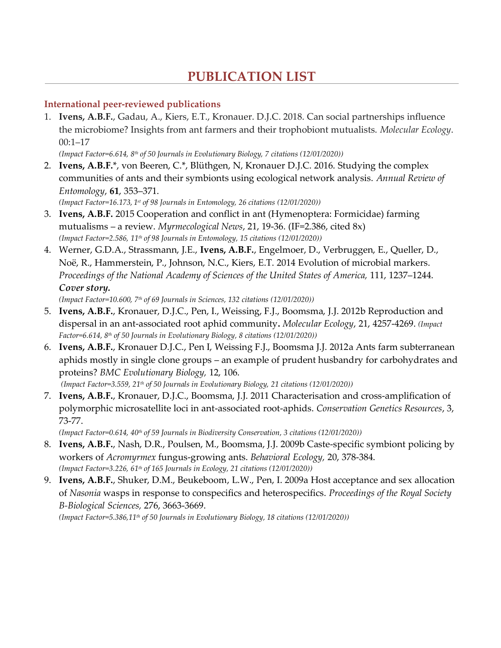# **PUBLICATION LIST**

## **International peer-reviewed publications**

1. **Ivens, A.B.F.**, Gadau, A., Kiers, E.T., Kronauer. D.J.C. 2018. Can social partnerships influence the microbiome? Insights from ant farmers and their trophobiont mutualists. *Molecular Ecology*. 00:1–17

*(Impact Factor=6.614, 8 th of 50 Journals in Evolutionary Biology, 7 citations (12/01/2020))*

2. **Ivens, A.B.F.**\*, von Beeren, C.\*, Blüthgen, N, Kronauer D.J.C. 2016. Studying the complex communities of ants and their symbionts using ecological network analysis. *Annual Review of Entomology*, **61**, 353–371.

*(Impact Factor=16.173, 1 st of 98 Journals in Entomology, 26 citations (12/01/2020))*

- 3. **Ivens, A.B.F.** 2015 Cooperation and conflict in ant (Hymenoptera: Formicidae) farming mutualisms – a review. *Myrmecological News*, 21, 19-36. (IF=2.386, cited 8x) *(Impact Factor=2.586, 11 th of 98 Journals in Entomology, 15 citations (12/01/2020))*
- 4. Werner, G.D.A., Strassmann, J.E., **Ivens, A.B.F.**, Engelmoer, D., Verbruggen, E., Queller, D., Noë, R., Hammerstein, P., Johnson, N.C., Kiers, E.T. 2014 Evolution of microbial markers. *Proceedings of the National Academy of Sciences of the United States of America,* 111, 1237–1244. *Cover story.*

*(Impact Factor=10.600, 7 th of 69 Journals in Sciences, 132 citations (12/01/2020))*

- 5. **Ivens, A.B.F.**, Kronauer, D.J.C., Pen, I., Weissing, F.J., Boomsma, J.J. 2012b Reproduction and dispersal in an ant-associated root aphid community**.** *Molecular Ecology*, 21, 4257-4269. *(Impact Factor=6.614, 8 th of 50 Journals in Evolutionary Biology, 8 citations (12/01/2020))*
- 6. **Ivens, A.B.F.**, Kronauer D.J.C., Pen I, Weissing F.J., Boomsma J.J. 2012a Ants farm subterranean aphids mostly in single clone groups – an example of prudent husbandry for carbohydrates and proteins? *BMC Evolutionary Biology,* 12, 106.

*(Impact Factor=3.559, 21th of 50 Journals in Evolutionary Biology, 21 citations (12/01/2020))*

7. **Ivens, A.B.F.**, Kronauer, D.J.C., Boomsma, J.J. 2011 Characterisation and cross-amplification of polymorphic microsatellite loci in ant-associated root-aphids. *Conservation Genetics Resources*, 3, 73-77.

*(Impact Factor=0.614, 40th of 59 Journals in Biodiversity Conservation, 3 citations (12/01/2020))*

- 8. **Ivens, A.B.F.**, Nash, D.R., Poulsen, M., Boomsma, J.J. 2009b Caste-specific symbiont policing by workers of *Acromyrmex* fungus-growing ants. *Behavioral Ecology,* 20, 378-384. *(Impact Factor=3.226, 61th of 165 Journals in Ecology, 21 citations (12/01/2020))*
- 9. **Ivens, A.B.F.**, Shuker, D.M., Beukeboom, L.W., Pen, I. 2009a Host acceptance and sex allocation of *Nasonia* wasps in response to conspecifics and heterospecifics. *Proceedings of the Royal Society B-Biological Sciences,* 276, 3663-3669.

*(Impact Factor=5.386,11th of 50 Journals in Evolutionary Biology, 18 citations (12/01/2020))*